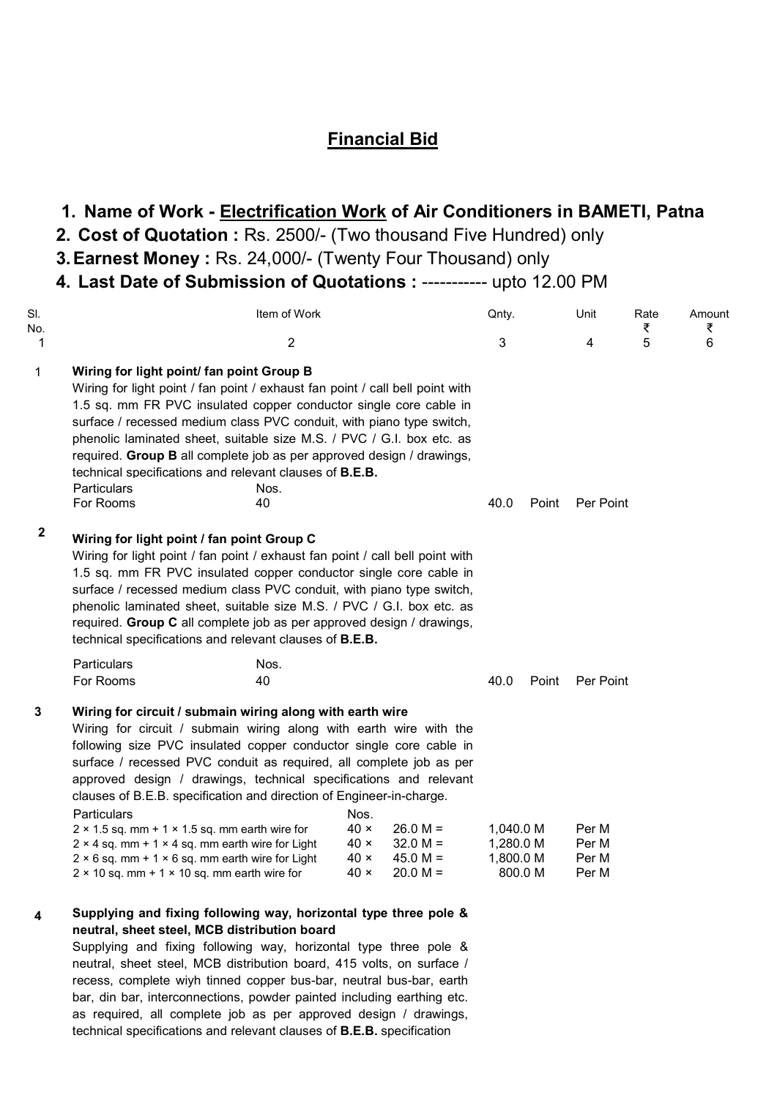## Financial Bid

# 1. Name of Work - Electrification Work of Air Conditioners in BAMETI, Patna

- 2. Cost of Quotation : Rs. 2500/- (Two thousand Five Hundred) only
- 3. Earnest Money : Rs. 24,000/- (Twenty Four Thousand) only
- 4. Last Date of Submission of Quotations : ----------- upto 12.00 PM

| SI.<br>No.   | Item of Work                                                                                                                                                                                                                                                                                                                                                                                                                                                                                                                                                                                                                                                                                               |                                                                  |                                                      | Qnty.                               |         | Unit                             | Rate<br>₹ | Amount<br>₹ |
|--------------|------------------------------------------------------------------------------------------------------------------------------------------------------------------------------------------------------------------------------------------------------------------------------------------------------------------------------------------------------------------------------------------------------------------------------------------------------------------------------------------------------------------------------------------------------------------------------------------------------------------------------------------------------------------------------------------------------------|------------------------------------------------------------------|------------------------------------------------------|-------------------------------------|---------|----------------------------------|-----------|-------------|
| 1            | $\overline{c}$                                                                                                                                                                                                                                                                                                                                                                                                                                                                                                                                                                                                                                                                                             |                                                                  |                                                      | 3                                   |         | 4                                | 5         | 6           |
| 1            | Wiring for light point/ fan point Group B<br>Wiring for light point / fan point / exhaust fan point / call bell point with<br>1.5 sq. mm FR PVC insulated copper conductor single core cable in<br>surface / recessed medium class PVC conduit, with piano type switch,<br>phenolic laminated sheet, suitable size M.S. / PVC / G.I. box etc. as<br>required. Group B all complete job as per approved design / drawings,<br>technical specifications and relevant clauses of <b>B.E.B.</b><br>Particulars<br>Nos.<br>For Rooms<br>40                                                                                                                                                                      |                                                                  |                                                      | 40.0                                | Point   | Per Point                        |           |             |
| $\mathbf{2}$ | Wiring for light point / fan point Group C<br>Wiring for light point / fan point / exhaust fan point / call bell point with<br>1.5 sq. mm FR PVC insulated copper conductor single core cable in<br>surface / recessed medium class PVC conduit, with piano type switch,<br>phenolic laminated sheet, suitable size M.S. / PVC / G.I. box etc. as<br>required. Group C all complete job as per approved design / drawings,<br>technical specifications and relevant clauses of <b>B.E.B.</b>                                                                                                                                                                                                               |                                                                  |                                                      |                                     |         |                                  |           |             |
|              | Particulars<br>Nos.<br>For Rooms<br>40                                                                                                                                                                                                                                                                                                                                                                                                                                                                                                                                                                                                                                                                     |                                                                  |                                                      | 40.0                                | Point   | Per Point                        |           |             |
| 3            | Wiring for circuit / submain wiring along with earth wire<br>Wiring for circuit / submain wiring along with earth wire with the<br>following size PVC insulated copper conductor single core cable in<br>surface / recessed PVC conduit as required, all complete job as per<br>approved design / drawings, technical specifications and relevant<br>clauses of B.E.B. specification and direction of Engineer-in-charge.<br>Particulars<br>$2 \times 1.5$ sq. mm + 1 $\times$ 1.5 sq. mm earth wire for<br>$2 \times 4$ sq. mm + 1 $\times$ 4 sq. mm earth wire for Light<br>$2 \times 6$ sq. mm + 1 $\times$ 6 sq. mm earth wire for Light<br>$2 \times 10$ sq. mm + 1 $\times$ 10 sq. mm earth wire for | Nos.<br>$40 \times$<br>$40 \times$<br>$40 \times$<br>$40 \times$ | $26.0 M =$<br>$32.0 M =$<br>$45.0 M =$<br>$20.0 M =$ | 1,040.0 M<br>1,280.0 M<br>1,800.0 M | 800.0 M | Per M<br>Per M<br>Per M<br>Per M |           |             |
|              | Supplying and fixing following way, horizontal type three pole &                                                                                                                                                                                                                                                                                                                                                                                                                                                                                                                                                                                                                                           |                                                                  |                                                      |                                     |         |                                  |           |             |

### Supplying and fixing following way, horizontal type three pole & neutral, sheet steel, MCB distribution board

Supplying and fixing following way, horizontal type three pole & neutral, sheet steel, MCB distribution board, 415 volts, on surface / recess, complete wiyh tinned copper bus-bar, neutral bus-bar, earth bar, din bar, interconnections, powder painted including earthing etc. as required, all complete job as per approved design / drawings, technical specifications and relevant clauses of B.E.B. specification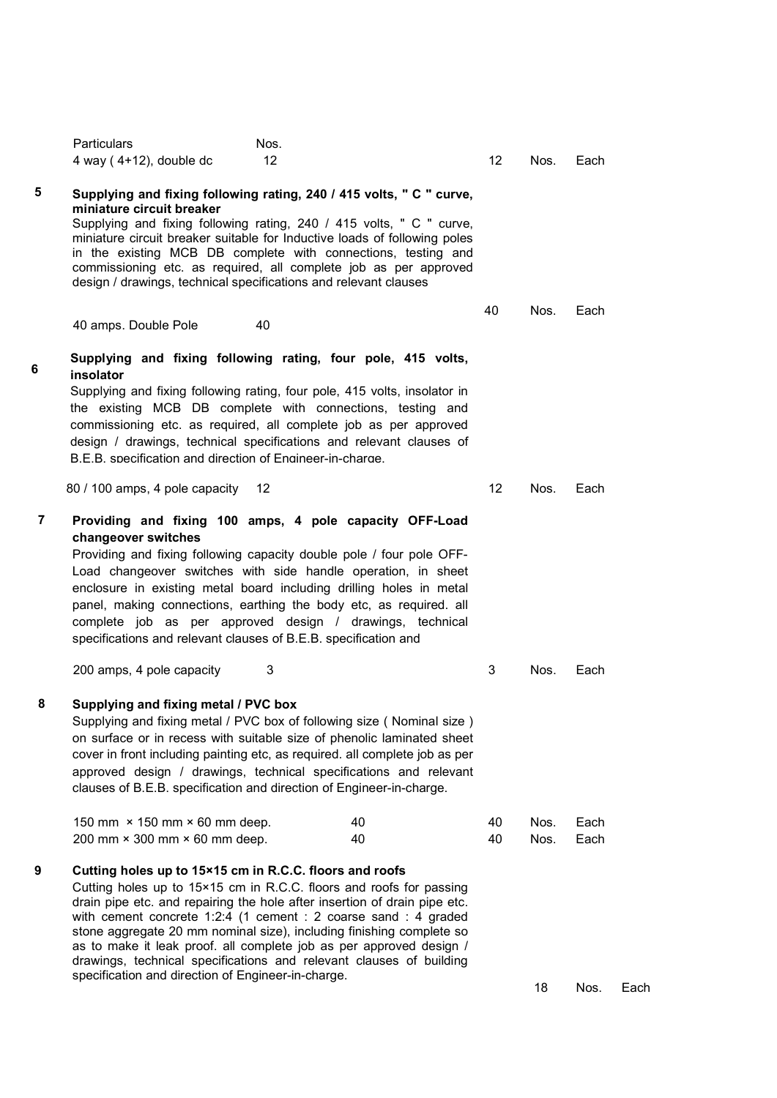|                | <b>Particulars</b><br>4 way $(4+12)$ , double dc                       | Nos.<br>12                                                                                                                                                                                                                                                                                                                                                                                                                                                                                           | 12 <sup>°</sup> | Nos.         | Each         |      |
|----------------|------------------------------------------------------------------------|------------------------------------------------------------------------------------------------------------------------------------------------------------------------------------------------------------------------------------------------------------------------------------------------------------------------------------------------------------------------------------------------------------------------------------------------------------------------------------------------------|-----------------|--------------|--------------|------|
| 5              | miniature circuit breaker                                              | Supplying and fixing following rating, 240 / 415 volts, " C " curve,<br>Supplying and fixing following rating, 240 / 415 volts, " C " curve,<br>miniature circuit breaker suitable for Inductive loads of following poles<br>in the existing MCB DB complete with connections, testing and<br>commissioning etc. as required, all complete job as per approved<br>design / drawings, technical specifications and relevant clauses                                                                   |                 |              |              |      |
|                | 40 amps. Double Pole                                                   | 40                                                                                                                                                                                                                                                                                                                                                                                                                                                                                                   | 40              | Nos.         | Each         |      |
| 6              | insolator<br>B.E.B. specification and direction of Engineer-in-charge. | Supplying and fixing following rating, four pole, 415 volts,<br>Supplying and fixing following rating, four pole, 415 volts, insolator in<br>the existing MCB DB complete with connections, testing and<br>commissioning etc. as required, all complete job as per approved<br>design / drawings, technical specifications and relevant clauses of                                                                                                                                                   |                 |              |              |      |
|                | 80 / 100 amps, 4 pole capacity 12                                      |                                                                                                                                                                                                                                                                                                                                                                                                                                                                                                      | 12              | Nos.         | Each         |      |
| $\overline{7}$ | changeover switches                                                    | Providing and fixing 100 amps, 4 pole capacity OFF-Load<br>Providing and fixing following capacity double pole / four pole OFF-<br>Load changeover switches with side handle operation, in sheet<br>enclosure in existing metal board including drilling holes in metal<br>panel, making connections, earthing the body etc, as required. all<br>complete job as per approved design / drawings, technical<br>specifications and relevant clauses of B.E.B. specification and                        |                 |              |              |      |
|                | 200 amps, 4 pole capacity                                              | 3                                                                                                                                                                                                                                                                                                                                                                                                                                                                                                    | 3               | Nos.         | Each         |      |
| 8              | Supplying and fixing metal / PVC box                                   | Supplying and fixing metal / PVC box of following size ( Nominal size )<br>on surface or in recess with suitable size of phenolic laminated sheet<br>cover in front including painting etc, as required. all complete job as per<br>approved design / drawings, technical specifications and relevant<br>clauses of B.E.B. specification and direction of Engineer-in-charge.                                                                                                                        |                 |              |              |      |
|                | 150 mm × 150 mm × 60 mm deep.<br>200 mm × 300 mm × 60 mm deep.         | 40<br>40                                                                                                                                                                                                                                                                                                                                                                                                                                                                                             | 40<br>40        | Nos.<br>Nos. | Each<br>Each |      |
| 9              | specification and direction of Engineer-in-charge.                     | Cutting holes up to 15×15 cm in R.C.C. floors and roofs<br>Cutting holes up to 15×15 cm in R.C.C. floors and roofs for passing<br>drain pipe etc. and repairing the hole after insertion of drain pipe etc.<br>with cement concrete 1:2:4 (1 cement : 2 coarse sand : 4 graded<br>stone aggregate 20 mm nominal size), including finishing complete so<br>as to make it leak proof. all complete job as per approved design /<br>drawings, technical specifications and relevant clauses of building |                 | 18           | Nos.         | Each |